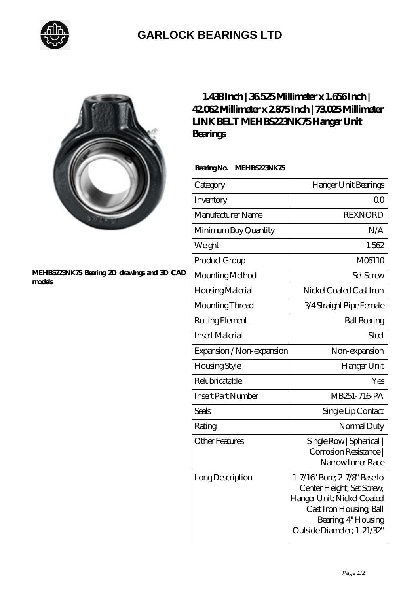

## **[GARLOCK BEARINGS LTD](https://m.letterstopriests.com)**

## **[MEHBS223NK75 Bearing 2D drawings and 3D CAD](https://m.letterstopriests.com/pic-189079.html) [models](https://m.letterstopriests.com/pic-189079.html)**

## **[1.438 Inch | 36.525 Millimeter x 1.656 Inch |](https://m.letterstopriests.com/bz-189079-link-belt-mehbs223nk75-hanger-unit-bearings.html) [42.062 Millimeter x 2.875 Inch | 73.025 Millimeter](https://m.letterstopriests.com/bz-189079-link-belt-mehbs223nk75-hanger-unit-bearings.html) [LINK BELT MEHBS223NK75 Hanger Unit](https://m.letterstopriests.com/bz-189079-link-belt-mehbs223nk75-hanger-unit-bearings.html) [Bearings](https://m.letterstopriests.com/bz-189079-link-belt-mehbs223nk75-hanger-unit-bearings.html)**

 **Bearing No. MEHBS223NK75**

| Category                  | Hanger Unit Bearings                                                                                                                                                    |
|---------------------------|-------------------------------------------------------------------------------------------------------------------------------------------------------------------------|
| Inventory                 | $\Omega$ <sup>O</sup>                                                                                                                                                   |
| Manufacturer Name         | <b>REXNORD</b>                                                                                                                                                          |
| Minimum Buy Quantity      | N/A                                                                                                                                                                     |
| Weight                    | 1.562                                                                                                                                                                   |
| Product Group             | M06110                                                                                                                                                                  |
| Mounting Method           | Set Screw                                                                                                                                                               |
| Housing Material          | Nickel Coated Cast Iron                                                                                                                                                 |
| Mounting Thread           | 3/4 Straight Pipe Female                                                                                                                                                |
| Rolling Element           | <b>Ball Bearing</b>                                                                                                                                                     |
| <b>Insert Material</b>    | Steel                                                                                                                                                                   |
| Expansion / Non-expansion | Non-expansion                                                                                                                                                           |
| <b>Housing Style</b>      | Hanger Unit                                                                                                                                                             |
| Relubricatable            | Yes                                                                                                                                                                     |
| <b>Insert Part Number</b> | MB251-716 PA                                                                                                                                                            |
| Seals                     | Single Lip Contact                                                                                                                                                      |
| Rating                    | Normal Duty                                                                                                                                                             |
| Other Features            | Single Row   Spherical  <br>Corrosion Resistance  <br>Narrow Inner Race                                                                                                 |
| Long Description          | 1-7/16" Bore; 2-7/8" Base to<br>Center Height; Set Screw,<br>Hanger Unit; Nickel Coated<br>Cast Iron Housing, Ball<br>Bearing, 4" Housing<br>Outside Diameter; 1-21/32" |